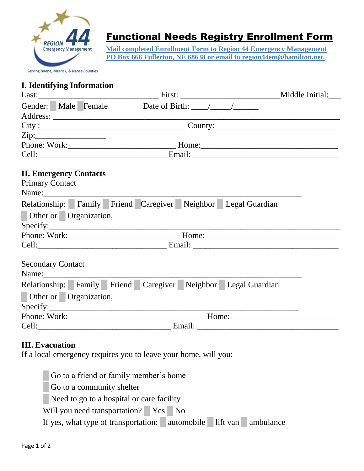

## Functional Needs Registry Enrollment Form

**Mail completed Enrollment Form to Region 44 Emergency Management PO Box 666 Fullerton, NE 68638 or email to region44em@hamilton.net.** 

**Serving Boone, Merrick, & Nance Counties** 

## **I. Identifying Information**

|                               |  |                            |  |  |                                                               | $City:$ $City:$ |  |
|-------------------------------|--|----------------------------|--|--|---------------------------------------------------------------|-----------------|--|
| Zip:                          |  |                            |  |  |                                                               |                 |  |
|                               |  |                            |  |  |                                                               |                 |  |
|                               |  |                            |  |  |                                                               |                 |  |
| <b>II. Emergency Contacts</b> |  |                            |  |  |                                                               |                 |  |
| <b>Primary Contact</b>        |  |                            |  |  |                                                               |                 |  |
| Other or Organization,        |  |                            |  |  | Relationship: Family Friend Caregiver Neighbor Legal Guardian |                 |  |
|                               |  |                            |  |  |                                                               |                 |  |
|                               |  |                            |  |  |                                                               |                 |  |
|                               |  |                            |  |  |                                                               |                 |  |
| <b>Secondary Contact</b>      |  |                            |  |  |                                                               |                 |  |
|                               |  |                            |  |  | Relationship: Family Friend Caregiver Neighbor Legal Guardian |                 |  |
| Other or Organization,        |  |                            |  |  |                                                               |                 |  |
|                               |  |                            |  |  |                                                               |                 |  |
|                               |  |                            |  |  |                                                               |                 |  |
|                               |  | Cell: Email: Email: Email: |  |  |                                                               |                 |  |

## **III. Evacuation**

If a local emergency requires you to leave your home, will you:

█ Go to a friend or family member's home Go to a community shelter Need to go to a hospital or care facility Will you need transportation? **Present No** If yes, what type of transportation: automobile lift van ambulance